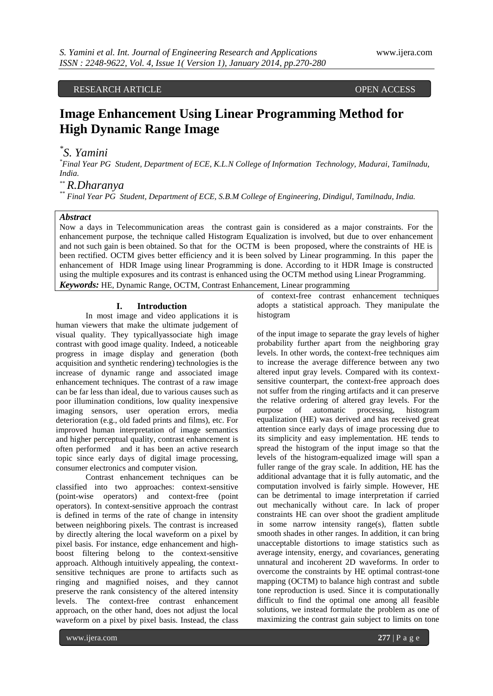RESEARCH ARTICLE OPEN ACCESS

# **Image Enhancement Using Linear Programming Method for High Dynamic Range Image**

# *\* S. Yamini*

*\*Final Year PG Student, Department of ECE, K.L.N College of Information Technology, Madurai, Tamilnadu, India.*

*\*\* R.Dharanya*

*\*\* Final Year PG Student, Department of ECE, S.B.M College of Engineering, Dindigul, Tamilnadu, India.*

### *Abstract*

Now a days in Telecommunication areas the contrast gain is considered as a major constraints. For the enhancement purpose, the technique called Histogram Equalization is involved, but due to over enhancement and not such gain is been obtained. So that for the OCTM is been proposed, where the constraints of HE is been rectified. OCTM gives better efficiency and it is been solved by Linear programming. In this paper the enhancement of HDR Image using linear Programming is done. According to it HDR Image is constructed using the multiple exposures and its contrast is enhanced using the OCTM method using Linear Programming. *Keywords:* HE, Dynamic Range, OCTM, Contrast Enhancement, Linear programming

#### **I. Introduction**

In most image and video applications it is human viewers that make the ultimate judgement of visual quality. They typicallyassociate high image contrast with good image quality. Indeed, a noticeable progress in image display and generation (both acquisition and synthetic rendering) technologies is the increase of dynamic range and associated image enhancement techniques. The contrast of a raw image can be far less than ideal, due to various causes such as poor illumination conditions, low quality inexpensive imaging sensors, user operation errors, media deterioration (e.g., old faded prints and films), etc. For improved human interpretation of image semantics and higher perceptual quality, contrast enhancement is often performed and it has been an active research topic since early days of digital image processing, consumer electronics and computer vision.

Contrast enhancement techniques can be classified into two approaches: context-sensitive (point-wise operators) and context-free (point operators). In context-sensitive approach the contrast is defined in terms of the rate of change in intensity between neighboring pixels. The contrast is increased by directly altering the local waveform on a pixel by pixel basis. For instance, edge enhancement and highboost filtering belong to the context-sensitive approach. Although intuitively appealing, the contextsensitive techniques are prone to artifacts such as ringing and magnified noises, and they cannot preserve the rank consistency of the altered intensity levels. The context-free contrast enhancement approach, on the other hand, does not adjust the local waveform on a pixel by pixel basis. Instead, the class

of context-free contrast enhancement techniques adopts a statistical approach. They manipulate the histogram

of the input image to separate the gray levels of higher probability further apart from the neighboring gray levels. In other words, the context-free techniques aim to increase the average difference between any two altered input gray levels. Compared with its contextsensitive counterpart, the context-free approach does not suffer from the ringing artifacts and it can preserve the relative ordering of altered gray levels. For the purpose of automatic processing, histogram equalization (HE) was derived and has received great attention since early days of image processing due to its simplicity and easy implementation. HE tends to spread the histogram of the input image so that the levels of the histogram-equalized image will span a fuller range of the gray scale. In addition, HE has the additional advantage that it is fully automatic, and the computation involved is fairly simple. However, HE can be detrimental to image interpretation if carried out mechanically without care. In lack of proper constraints HE can over shoot the gradient amplitude in some narrow intensity range(s), flatten subtle smooth shades in other ranges. In addition, it can bring unacceptable distortions to image statistics such as average intensity, energy, and covariances, generating unnatural and incoherent 2D waveforms. In order to overcome the constraints by HE optimal contrast-tone mapping (OCTM) to balance high contrast and subtle tone reproduction is used. Since it is computationally difficult to find the optimal one among all feasible solutions, we instead formulate the problem as one of maximizing the contrast gain subject to limits on tone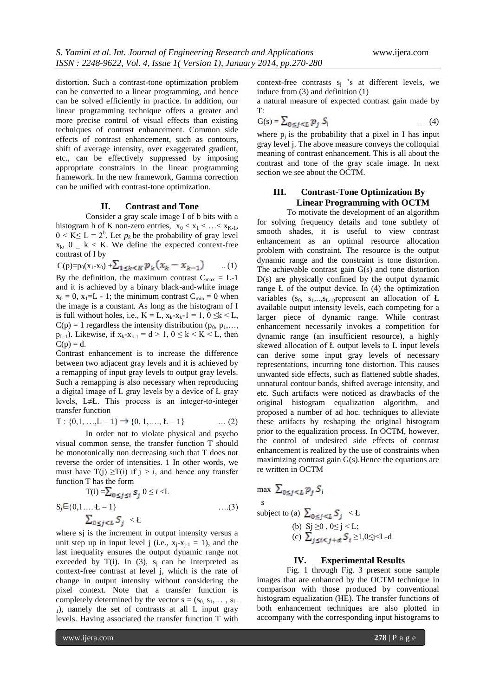distortion. Such a contrast-tone optimization problem can be converted to a linear programming, and hence can be solved efficiently in practice. In addition, our linear programming technique offers a greater and more precise control of visual effects than existing techniques of contrast enhancement. Common side effects of contrast enhancement, such as contours, shift of average intensity, over exaggerated gradient, etc., can be effectively suppressed by imposing appropriate constraints in the linear programming framework. In the new framework, Gamma correction can be unified with contrast-tone optimization.

#### **II. Contrast and Tone**

Consider a gray scale image I of b bits with a histogram h of K non-zero entries,  $x_0 < x_1 < ... < x_{K-1}$ ,  $0 \le K \le L = 2^b$ . Let  $p_k$  be the probability of gray level  $x_k$ ,  $0 - k < K$ . We define the expected context-free contrast of I by

 $C(p)=p_0(x_1-x_0)+\sum_{1\leq k\leq K}p_k(x_k-x_{k-1})$  ... (1) By the definition, the maximum contrast  $C_{\text{max}} = L-1$ and it is achieved by a binary black-and-white image  $x_0 = 0$ ,  $x_1=L - 1$ ; the minimum contrast  $C_{min} = 0$  when the image is a constant. As long as the histogram of I is full without holes, i.e.,  $K = L$ ,  $x_k - x_k - 1 = 1$ ,  $0 \le k < L$ ,  $C(p) = 1$  regardless the intensity distribution ( $p_0, p_1, \ldots$ ,  $p_{L-1}$ ). Likewise, if  $x_k - x_{k-1} = d > 1$ ,  $0 \le k \le K \le L$ , then  $C(p) = d$ .

Contrast enhancement is to increase the difference between two adjacent gray levels and it is achieved by a remapping of input gray levels to output gray levels. Such a remapping is also necessary when reproducing a digital image of L gray levels by a device of Ł gray levels, L≠Ł. This process is an integer-to-integer transfer function

$$
T: \{0,1,\dots,L-1\} \to \{0,1,\dots,L-1\} \qquad \dots (2)
$$

In order not to violate physical and psycho visual common sense, the transfer function T should be monotonically non decreasing such that T does not reverse the order of intensities. 1 In other words, we must have  $T(j) \geq T(i)$  if  $j > i$ , and hence any transfer function T has the form

$$
T(i) = \sum_{0 \le j \le i} S_j \quad 0 \le i < L
$$
\n
$$
S_j \in \{0, 1, \dots, L - 1\} \qquad \qquad \dots (3)
$$
\n
$$
\sum_{0 \le j < L} S_j < L
$$

where sj is the increment in output intensity versus a unit step up in input level j (i.e.,  $x_i-x_{i-1} = 1$ ), and the last inequality ensures the output dynamic range not exceeded by T(i). In (3),  $s_j$  can be interpreted as context-free contrast at level j, which is the rate of change in output intensity without considering the pixel context. Note that a transfer function is completely determined by the vector  $s = (s_0, s_1, \dots, s_L)$  $_1$ ), namely the set of contrasts at all L input gray levels. Having associated the transfer function T with

context-free contrasts  $s_i$  's at different levels, we induce from (3) and definition (1)

a natural measure of expected contrast gain made by T:

$$
G(s) = \sum_{0 \le j < L} p_j S_j \tag{4}
$$

where  $p_i$  is the probability that a pixel in I has input gray level j. The above measure conveys the colloquial meaning of contrast enhancement. This is all about the contrast and tone of the gray scale image. In next section we see about the OCTM.

## **III. Contrast-Tone Optimization By Linear Programming with OCTM**

To motivate the development of an algorithm for solving frequency details and tone subtlety of smooth shades, it is useful to view contrast enhancement as an optimal resource allocation problem with constraint. The resource is the output dynamic range and the constraint is tone distortion. The achievable contrast gain G(s) and tone distortion D(s) are physically confined by the output dynamic range Ł of the output device. In (4) the optimization variables  $(s_0, s_1, \ldots, s_{L-1})$ represent an allocation of Ł available output intensity levels, each competing for a larger piece of dynamic range. While contrast enhancement necessarily invokes a competition for dynamic range (an insufficient resource), a highly skewed allocation of Ł output levels to L input levels can derive some input gray levels of necessary representations, incurring tone distortion. This causes unwanted side effects, such as flattened subtle shades, unnatural contour bands, shifted average intensity, and etc. Such artifacts were noticed as drawbacks of the original histogram equalization algorithm, and proposed a number of ad hoc. techniques to alleviate these artifacts by reshaping the original histogram prior to the equalization process. In OCTM, however, the control of undesired side effects of contrast enhancement is realized by the use of constraints when maximizing contrast gain G(s).Hence the equations are re written in OCTM

max 
$$
\sum_{0 \le j < L} p_j S_j
$$
  
\ns  
\nsubject to (a)  $\sum_{0 \le j < L} S_j < L$   
\n(b)  $S_j \ge 0, 0 \le j < L$ ;  
\n(c)  $\sum_{j \le i < j + d} S_i \ge 1, 0 \le j < L$ -d

s

#### **IV. Experimental Results**

Fig. 1 through Fig. 3 present some sample images that are enhanced by the OCTM technique in comparison with those produced by conventional histogram equalization (HE). The transfer functions of both enhancement techniques are also plotted in accompany with the corresponding input histograms to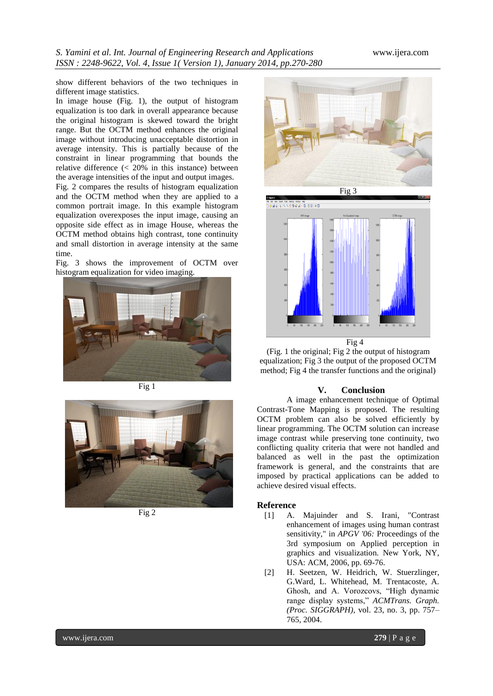show different behaviors of the two techniques in different image statistics.

In image house (Fig. 1), the output of histogram equalization is too dark in overall appearance because the original histogram is skewed toward the bright range. But the OCTM method enhances the original image without introducing unacceptable distortion in average intensity. This is partially because of the constraint in linear programming that bounds the relative difference  $\langle \langle 20\% \rangle$  in this instance) between the average intensities of the input and output images.

Fig. 2 compares the results of histogram equalization and the OCTM method when they are applied to a common portrait image. In this example histogram equalization overexposes the input image, causing an opposite side effect as in image House, whereas the OCTM method obtains high contrast, tone continuity and small distortion in average intensity at the same time.

Fig. 3 shows the improvement of OCTM over histogram equalization for video imaging.



Fig 1



Fig 2





Fig 4

(Fig. 1 the original; Fig 2 the output of histogram equalization; Fig 3 the output of the proposed OCTM method; Fig 4 the transfer functions and the original)

### **V. Conclusion**

A image enhancement technique of Optimal Contrast-Tone Mapping is proposed. The resulting OCTM problem can also be solved efficiently by linear programming. The OCTM solution can increase image contrast while preserving tone continuity, two conflicting quality criteria that were not handled and balanced as well in the past the optimization framework is general, and the constraints that are imposed by practical applications can be added to achieve desired visual effects.

#### **Reference**

- [1] A. Majuinder and S. Irani, "Contrast enhancement of images using human contrast sensitivity," in *APGV '06:* Proceedings of the 3rd symposium on Applied perception in graphics and visualization*.* New York, NY, USA: ACM, 2006, pp. 69-76.
- [2] H. Seetzen, W. Heidrich, W. Stuerzlinger, G.Ward, L. Whitehead, M. Trentacoste, A. Ghosh, and A. Vorozcovs, "High dynamic range display systems," *ACMTrans. Graph. (Proc. SIGGRAPH)*, vol. 23, no. 3, pp. 757– 765, 2004.